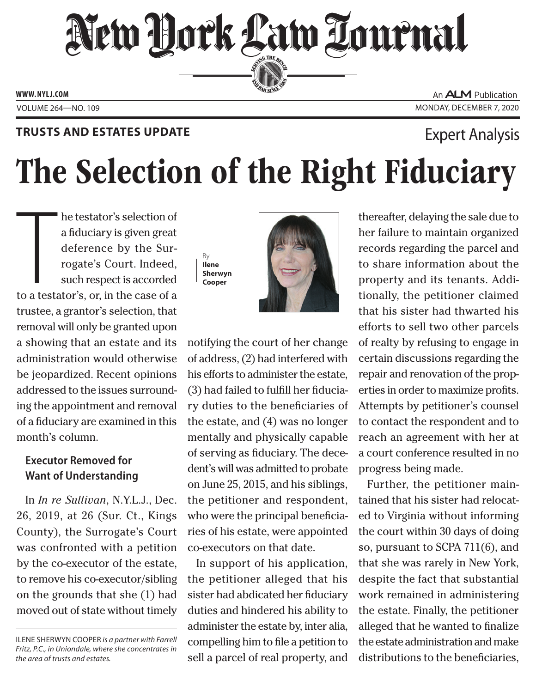## New Dock Law Lournal SERVING THE BEN

**ED BAR SINCE 188** 

**www. NYLJ.com**

An **ALM** Publication VOLUME 264—NO. 109 MONDAY, DECEMBER 7, 2020

#### **Trusts and Estates Update**

### Expert Analysis

# The Selection of the Right Fiduciary

The testator's selection of<br>a fiduciary is given great<br>deference by the Sur-<br>rogate's Court. Indeed,<br>such respect is accorded<br>to a testator's, or, in the case of a he testator's selection of a fiduciary is given great deference by the Surrogate's Court. Indeed, such respect is accorded trustee, a grantor's selection, that removal will only be granted upon a showing that an estate and its administration would otherwise be jeopardized. Recent opinions addressed to the issues surrounding the appointment and removal of a fiduciary are examined in this month's column.

#### **Executor Removed for Want of Understanding**

In *In re Sullivan*, N.Y.L.J., Dec. 26, 2019, at 26 (Sur. Ct., Kings County), the Surrogate's Court was confronted with a petition by the co-executor of the estate, to remove his co-executor/sibling on the grounds that she (1) had moved out of state without timely





notifying the court of her change of address, (2) had interfered with his efforts to administer the estate, (3) had failed to fulfill her fiduciary duties to the beneficiaries of the estate, and (4) was no longer mentally and physically capable of serving as fiduciary. The decedent's will was admitted to probate on June 25, 2015, and his siblings, the petitioner and respondent, who were the principal beneficiaries of his estate, were appointed co-executors on that date.

In support of his application, the petitioner alleged that his sister had abdicated her fiduciary duties and hindered his ability to administer the estate by, inter alia, compelling him to file a petition to sell a parcel of real property, and thereafter, delaying the sale due to her failure to maintain organized records regarding the parcel and to share information about the property and its tenants. Additionally, the petitioner claimed that his sister had thwarted his efforts to sell two other parcels of realty by refusing to engage in certain discussions regarding the repair and renovation of the properties in order to maximize profits. Attempts by petitioner's counsel to contact the respondent and to reach an agreement with her at a court conference resulted in no progress being made.

Further, the petitioner maintained that his sister had relocated to Virginia without informing the court within 30 days of doing so, pursuant to SCPA 711(6), and that she was rarely in New York, despite the fact that substantial work remained in administering the estate. Finally, the petitioner alleged that he wanted to finalize the estate administration and make distributions to the beneficiaries,

Ilene Sherwyn Cooper *is a partner with Farrell Fritz, P.C., in Uniondale, where she concentrates in the area of trusts and estates.*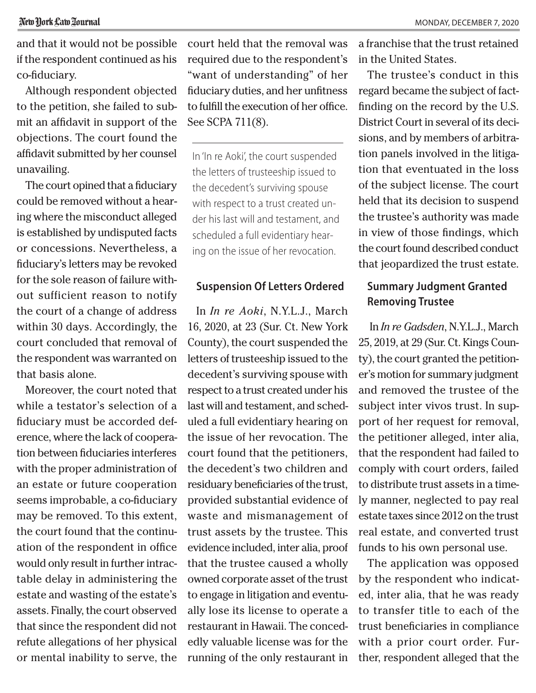and that it would not be possible if the respondent continued as his co-fiduciary.

Although respondent objected to the petition, she failed to submit an affidavit in support of the objections. The court found the affidavit submitted by her counsel unavailing.

The court opined that a fiduciary could be removed without a hearing where the misconduct alleged is established by undisputed facts or concessions. Nevertheless, a fiduciary's letters may be revoked for the sole reason of failure without sufficient reason to notify the court of a change of address within 30 days. Accordingly, the court concluded that removal of the respondent was warranted on that basis alone.

Moreover, the court noted that while a testator's selection of a fiduciary must be accorded deference, where the lack of cooperation between fiduciaries interferes with the proper administration of an estate or future cooperation seems improbable, a co-fiduciary may be removed. To this extent, the court found that the continuation of the respondent in office would only result in further intractable delay in administering the estate and wasting of the estate's assets. Finally, the court observed that since the respondent did not refute allegations of her physical or mental inability to serve, the

court held that the removal was required due to the respondent's "want of understanding" of her fiduciary duties, and her unfitness to fulfill the execution of her office. See SCPA 711(8).

In 'In re Aoki', the court suspended the letters of trusteeship issued to the decedent's surviving spouse with respect to a trust created under his last will and testament, and scheduled a full evidentiary hearing on the issue of her revocation.

#### **Suspension Of Letters Ordered**

In *In re Aoki*, N.Y.L.J., March 16, 2020, at 23 (Sur. Ct. New York County), the court suspended the letters of trusteeship issued to the decedent's surviving spouse with respect to a trust created under his last will and testament, and scheduled a full evidentiary hearing on the issue of her revocation. The court found that the petitioners, the decedent's two children and residuary beneficiaries of the trust, provided substantial evidence of waste and mismanagement of trust assets by the trustee. This evidence included, inter alia, proof that the trustee caused a wholly owned corporate asset of the trust to engage in litigation and eventually lose its license to operate a restaurant in Hawaii. The concededly valuable license was for the running of the only restaurant in

a franchise that the trust retained in the United States.

The trustee's conduct in this regard became the subject of factfinding on the record by the U.S. District Court in several of its decisions, and by members of arbitration panels involved in the litigation that eventuated in the loss of the subject license. The court held that its decision to suspend the trustee's authority was made in view of those findings, which the court found described conduct that jeopardized the trust estate.

#### **Summary Judgment Granted Removing Trustee**

In *In re Gadsden*, N.Y.L.J., March 25, 2019, at 29 (Sur. Ct. Kings County), the court granted the petitioner's motion for summary judgment and removed the trustee of the subject inter vivos trust. In support of her request for removal, the petitioner alleged, inter alia, that the respondent had failed to comply with court orders, failed to distribute trust assets in a timely manner, neglected to pay real estate taxes since 2012 on the trust real estate, and converted trust funds to his own personal use.

The application was opposed by the respondent who indicated, inter alia, that he was ready to transfer title to each of the trust beneficiaries in compliance with a prior court order. Further, respondent alleged that the